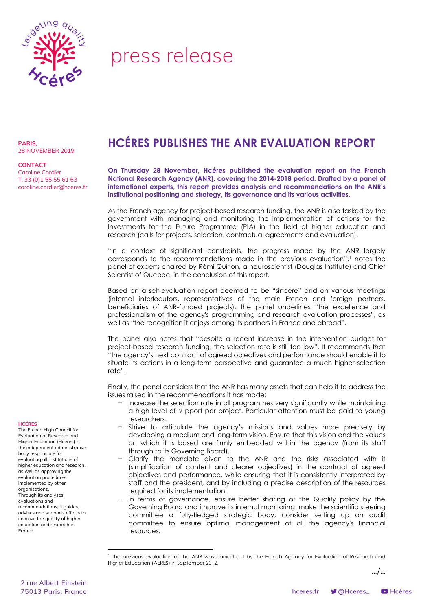

## press release

**PARIS,** 28 NOVEMBER 2019

**CONTACT** Caroline Cordier T. 33 (0)1 55 55 61 63 caroline.cordier@hceres.fr

## **HCÉRES PUBLISHES THE ANR EVALUATION REPORT**

**On Thursday 28 November, Hcéres published the evaluation report on the French National Research Agency (ANR), covering the 2014-2018 period. Drafted by a panel of international experts, this report provides analysis and recommendations on the ANR's institutional positioning and strategy, its governance and its various activities.** 

As the French agency for project-based research funding, the ANR is also tasked by the **I** government with managing and monitoring the implementation of actions for the **N** Investments for the Future Programme (PIA) in the field of higher education and research (calls for projects, selection, contractual agreements and evaluation). **O D**

"In a context of significant constraints, the progress made by the ANR largely **T** corresponds to the recommendations made in the previous evaluation", <sup>1</sup> notes the **M** panel of experts chaired by Rémi Quirion, a neuroscientist (Douglas Institute) and Chief **O** Scientist of Quebec, in the conclusion of this report. **E**

Based on a self-evaluation report deemed to be "sincere" and on various meetings T (internal interlocutors, representatives of the main French and foreign partners, h beneficiaries of ANR-funded projects), the panel underlines "the excellence and professionalism of the agency's programming and research evaluation processes", as F well as "the recognition it enjoys among its partners in France and abroad".

The panel also notes that "despite a recent increase in the intervention budget for me paner also notes that "aespite" a recent increase in the intervention boager for "the agency's next contract of agreed objectives and performance should enable it to situate its actions in a long-term perspective and guarantee a much higher selection rate". h i

Finally, the panel considers that the ANR has many assets that can help it to address the issues raised in the recommendations it has made:  $\overline{a}$ 

- − Increase the selection rate in all programmes very significantly while maintaining u a high level of support per project. Particular attention must be paid to young n researchers. .<br>.
- − Strive to articulate the agency's missions and values more precisely by developing a medium and long-term vision. Ensure that this vision and the values on which it is based are firmly embedded within the agency (from its staff f through to its Governing Board). l r
- − Clarify the mandate given to the ANR and the risks associated with it (simplification of content and clearer objectives) in the contract of agreed E objectives and performance, while ensuring that it is consistently interpreted by staff and the president, and by including a precise description of the resources required for its implementation. l
- − In terms of governance, ensure better sharing of the Quality policy by the a Governing Board and improve its internal monitoring: make the scientific steering committee a fully-fledged strategic body; consider setting up an audit committee to ensure optimal management of all the agency's financial resources. i

…/…

## **HCÉRES** The French High Council for

Evaluation of Research and Higher Education (Hcéres) is the independent administrative body responsible for evaluating all institutions of higher education and research, as well as approving the evaluation procedures implemented by other organisations. Through its analyses, evaluations and recommendations, it guides, advises and supports efforts to improve the quality of higher education and research in France.

1

<sup>&</sup>lt;sup>1</sup> The previous evaluation of the ANR was carried out by the French Agency for Evaluation of Research and Higher Education (AERES) in September 2012. s